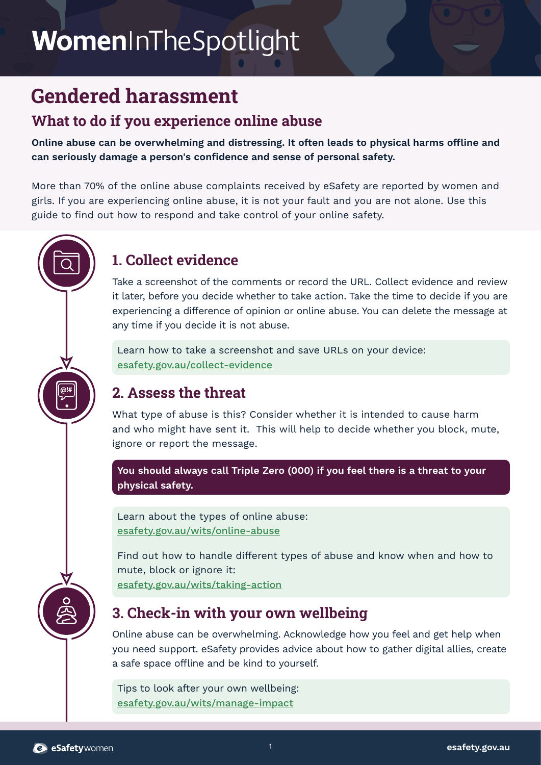# WomenInTheSpotlight

## **Gendered harassment**

#### **What to do if you experience online abuse**

**Online abuse can be overwhelming and distressing. It often leads to physical harms offline and can seriously damage a person's confidence and sense of personal safety.** 

More than 70% of the online abuse complaints received by eSafety are reported by women and girls. If you are experiencing online abuse, it is not your fault and you are not alone. Use this guide to find out how to respond and take control of your online safety.

### **1. Collect evidence**

Take a screenshot of the comments or record the URL. Collect evidence and review it later, before you decide whether to take action. Take the time to decide if you are experiencing a difference of opinion or online abuse. You can delete the message at any time if you decide it is not abuse.

Learn how to take a screenshot and save URLs on your device: [esafety.gov.au/collect-evidence](http://esafety.gov.au/collect-evidence)

#### **2. Assess the threat**

What type of abuse is this? Consider whether it is intended to cause harm and who might have sent it. This will help to decide whether you block, mute, ignore or report the message.

**You should always call Triple Zero (000) if you feel there is a threat to your physical safety.**

Learn about the types of online abuse: [esafety.gov.au/wits/online-abuse](http://esafety.gov.au/wits/online-abuse)

Find out how to handle different types of abuse and know when and how to mute, block or ignore it: [esafety.gov.au/wits/taking-action](http://esafety.gov.au/wits/taking-action)

#### **3. Check-in with your own wellbeing**

Online abuse can be overwhelming. Acknowledge how you feel and get help when you need support. eSafety provides advice about how to gather digital allies, create a safe space offline and be kind to yourself.

Tips to look after your own wellbeing: [esafety.gov.au/wits/manage-impact](http://esafety.gov.au/wits/manage-impact)

<sup>2</sup> eSafety women